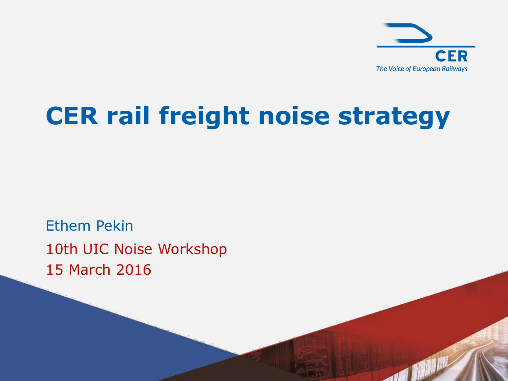

and fill

# **CER rail freight noise strategy**

10th UIC Noise Workshop 15 March 2016 Ethem Pekin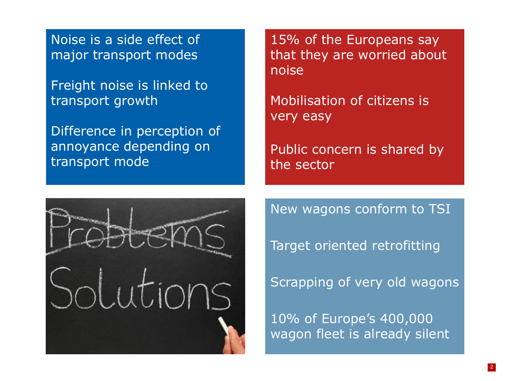Noise is a side effect of major transport modes

Freight noise is linked to transport growth

Difference in perception of annoyance depending on transport mode

15% of the Europeans say that they are worried about noise

Mobilisation of citizens is very easy

Public concern is shared by the sector



New wagons conform to TSI

Target oriented retrofitting

Scrapping of very old wagons

10% of Europe's 400,000 wagon fleet is already silent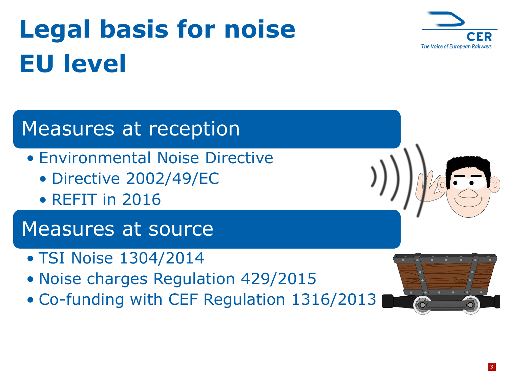# **Legal basis for noise EU level**



#### Measures at reception

- Environmental Noise Directive
	- Directive 2002/49/EC
	- REFIT in 2016

Measures at source

- TSI Noise 1304/2014
- Noise charges Regulation 429/2015
- Co-funding with CEF Regulation 1316/2013

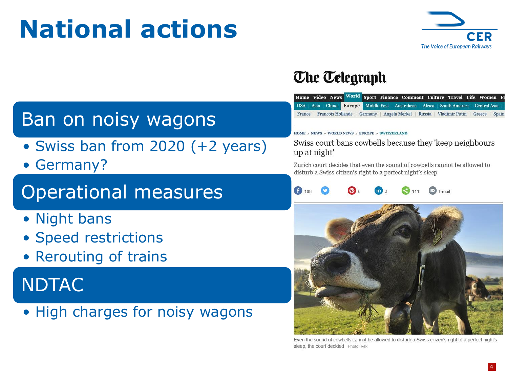# **National actions**



#### **The Telegraph**

|  |  |  | Home Video News World Sport Finance Comment Culture Travel Life Women Fa                        |  |  |  |  |
|--|--|--|-------------------------------------------------------------------------------------------------|--|--|--|--|
|  |  |  | USA Asia China Europe Middle East Australasia Africa South America Central Asia                 |  |  |  |  |
|  |  |  | France   Francois Hollande   Germany   Angela Merkel   Russia   Vladimir Putin   Greece   Spain |  |  |  |  |

#### Ban on noisy wagons

- Swiss ban from 2020 (+2 years)
- Germany?

#### Operational measures

- Night bans
- Speed restrictions
- Rerouting of trains

#### NDTAC

• High charges for noisy wagons

#### HOME » NEWS » WORLD NEWS » EUROPE » SWITZERLAND

Swiss court bans cowbells because they 'keep neighbours up at night'

Zurich court decides that even the sound of cowbells cannot be allowed to disturb a Swiss citizen's right to a perfect night's sleep

108  $\bowtie$  Email



and of cowbells cannot be allowed to disturb a Swiss citizen's right to a perfect night's sleep, the court decided Photo: Rex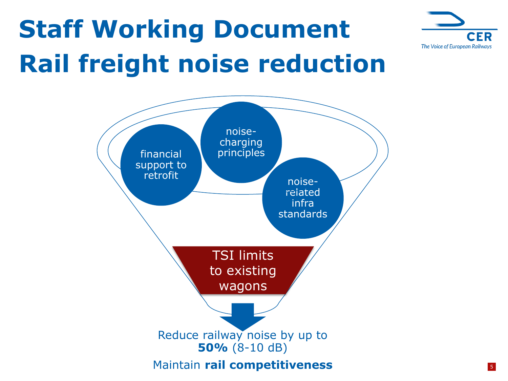

# **Staff Working Document Rail freight noise reduction**

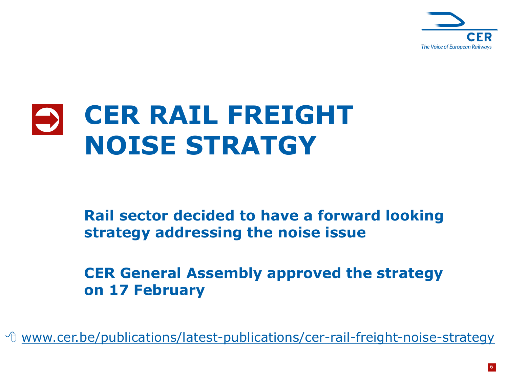

#### **CER RAIL FREIGHT NOISE STRATGY**   $\bullet$

#### **Rail sector decided to have a forward looking strategy addressing the noise issue**

**CER General Assembly approved the strategy on 17 February**

<sup>→</sup> [www.cer.be/publications/latest-publications/cer-rail-freight-noise-strategy](http://www.cer.be/publications/latest-publications/cer-rail-freight-noise-strategy)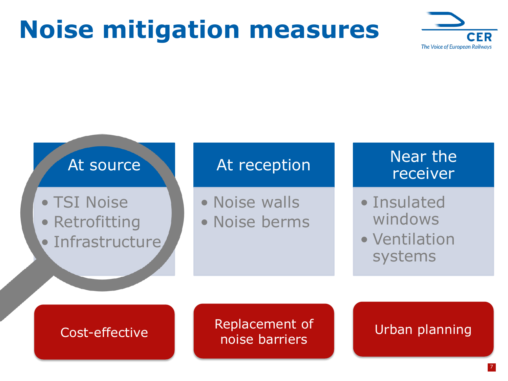# **Noise mitigation measures**





#### Cost-effective

Replacement of **Urban planning**<br>noise barriers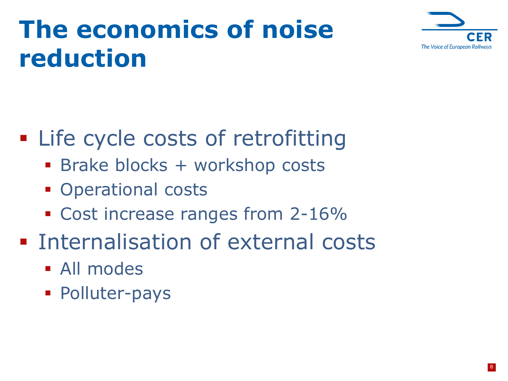# **The economics of noise reduction**



### **EXTEND COSTS OF retrofitting**

- **Brake blocks + workshop costs**
- **Operational costs**
- Cost increase ranges from 2-16%
- **Internalisation of external costs** 
	- **All modes**
	- **Polluter-pays**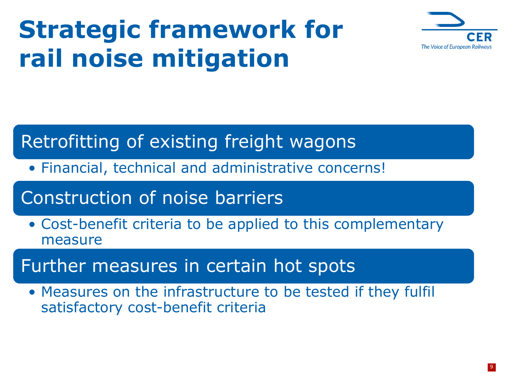# **Strategic framework for rail noise mitigation**



#### Retrofitting of existing freight wagons

• Financial, technical and administrative concerns!

#### Construction of noise barriers

• Cost-benefit criteria to be applied to this complementary measure

#### Further measures in certain hot spots

• Measures on the infrastructure to be tested if they fulfil satisfactory cost-benefit criteria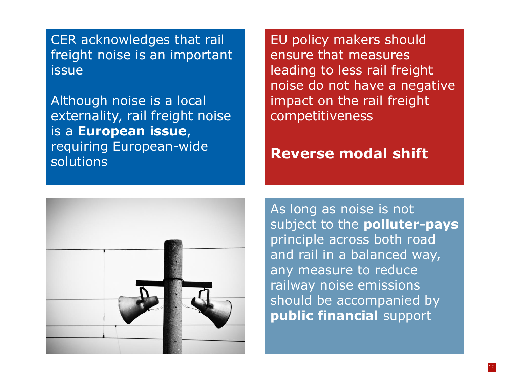CER acknowledges that rail freight noise is an important issue

Although noise is a local externality, rail freight noise is a **European issue**, requiring European-wide **solutions** 

EU policy makers should ensure that measures leading to less rail freight noise do not have a negative impact on the rail freight competitiveness

#### **Reverse modal shift**



As long as noise is not subject to the **polluter-pays** principle across both road and rail in a balanced way, any measure to reduce railway noise emissions should be accompanied by **public financial** support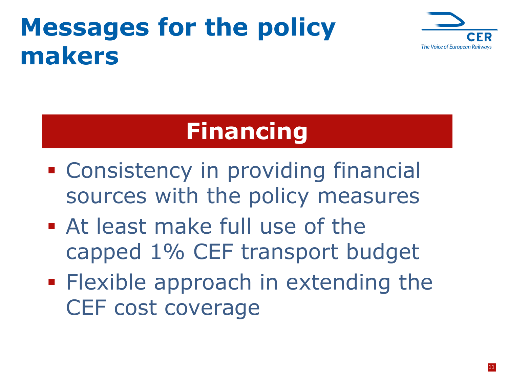# **Messages for the policy makers**



## **Financing**

- **EXCONSISTENCY IN providing financial** sources with the policy measures
- At least make full use of the capped 1% CEF transport budget
- **Flexible approach in extending the** CEF cost coverage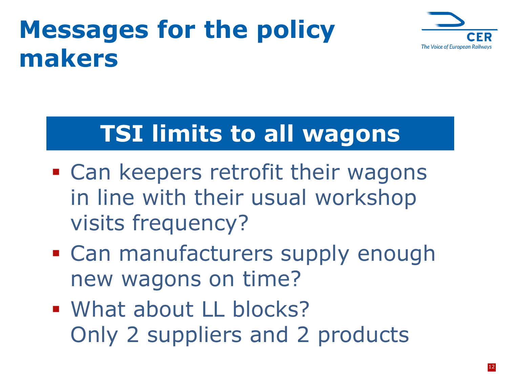# **Messages for the policy makers**



### **TSI limits to all wagons**

- **Example 25 Ferofit their wagons** in line with their usual workshop visits frequency?
- Can manufacturers supply enough new wagons on time?
- What about LL blocks? Only 2 suppliers and 2 products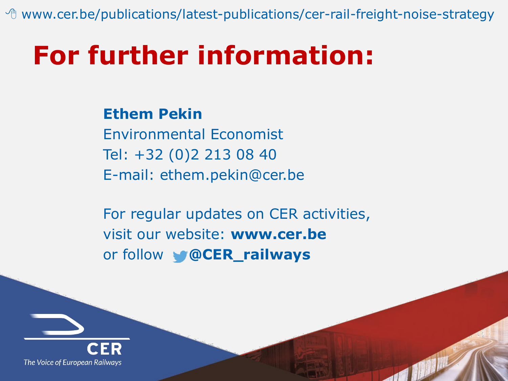<sup>th</sup> www.cer.be/publications/latest-publications/cer-rail-freight-noise-strategy

# **For further information:**

**Ethem Pekin** Environmental Economist Tel: +32 (0)2 213 08 40 E-mail: ethem.pekin@cer.be

For regular updates on CER activities, visit our website: **www.cer.be** or follow **@CER\_railways**

and the